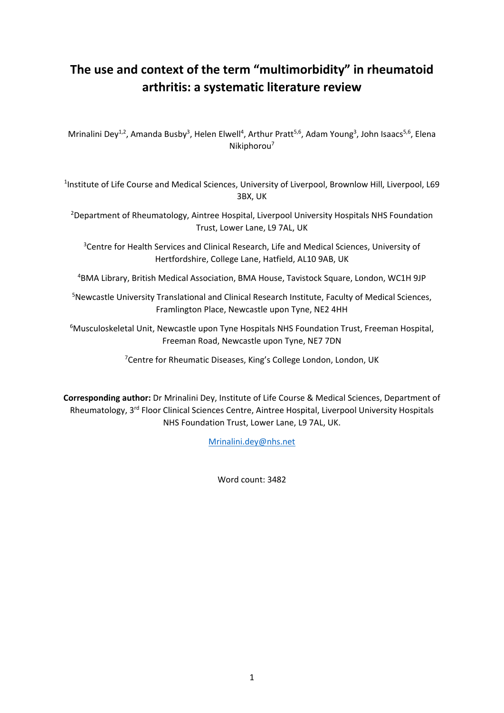# **The use and context of the term "multimorbidity" in rheumatoid arthritis: a systematic literature review**

Mrinalini Dey<sup>1,2</sup>, Amanda Busby<sup>3</sup>, Helen Elwell<sup>4</sup>, Arthur Pratt<sup>5,6</sup>, Adam Young<sup>3</sup>, John Isaacs<sup>5,6</sup>, Elena Nikiphorou7

<sup>1</sup>Institute of Life Course and Medical Sciences, University of Liverpool, Brownlow Hill, Liverpool, L69 3BX, UK

<sup>2</sup>Department of Rheumatology, Aintree Hospital, Liverpool University Hospitals NHS Foundation Trust, Lower Lane, L9 7AL, UK

<sup>3</sup>Centre for Health Services and Clinical Research, Life and Medical Sciences, University of Hertfordshire, College Lane, Hatfield, AL10 9AB, UK

4 BMA Library, British Medical Association, BMA House, Tavistock Square, London, WC1H 9JP

<sup>5</sup>Newcastle University Translational and Clinical Research Institute, Faculty of Medical Sciences, Framlington Place, Newcastle upon Tyne, NE2 4HH

<sup>6</sup>Musculoskeletal Unit, Newcastle upon Tyne Hospitals NHS Foundation Trust, Freeman Hospital, Freeman Road, Newcastle upon Tyne, NE7 7DN

<sup>7</sup>Centre for Rheumatic Diseases, King's College London, London, UK

**Corresponding author:** Dr Mrinalini Dey, Institute of Life Course & Medical Sciences, Department of Rheumatology, 3rd Floor Clinical Sciences Centre, Aintree Hospital, Liverpool University Hospitals NHS Foundation Trust, Lower Lane, L9 7AL, UK.

[Mrinalini.dey@nhs.net](mailto:Mrinalini.dey@nhs.net)

Word count: 3482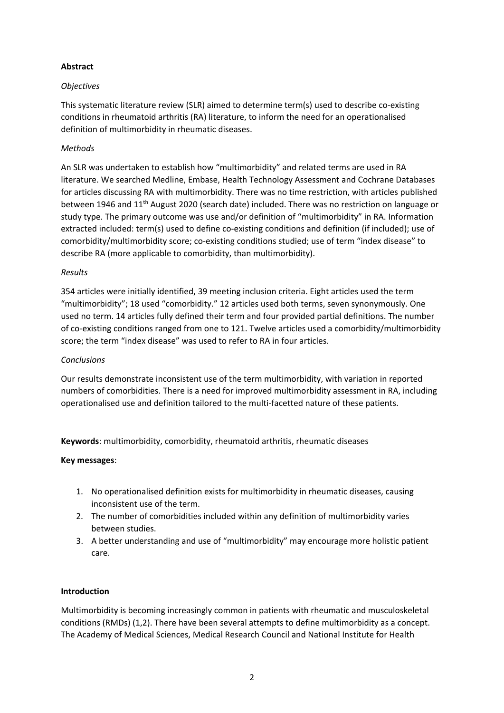# **Abstract**

### *Objectives*

This systematic literature review (SLR) aimed to determine term(s) used to describe co-existing conditions in rheumatoid arthritis (RA) literature, to inform the need for an operationalised definition of multimorbidity in rheumatic diseases.

# *Methods*

An SLR was undertaken to establish how "multimorbidity" and related terms are used in RA literature. We searched Medline, Embase, Health Technology Assessment and Cochrane Databases for articles discussing RA with multimorbidity. There was no time restriction, with articles published between 1946 and 11<sup>th</sup> August 2020 (search date) included. There was no restriction on language or study type. The primary outcome was use and/or definition of "multimorbidity" in RA. Information extracted included: term(s) used to define co-existing conditions and definition (if included); use of comorbidity/multimorbidity score; co-existing conditions studied; use of term "index disease" to describe RA (more applicable to comorbidity, than multimorbidity).

#### *Results*

354 articles were initially identified, 39 meeting inclusion criteria. Eight articles used the term "multimorbidity"; 18 used "comorbidity." 12 articles used both terms, seven synonymously. One used no term. 14 articles fully defined their term and four provided partial definitions. The number of co-existing conditions ranged from one to 121. Twelve articles used a comorbidity/multimorbidity score; the term "index disease" was used to refer to RA in four articles.

#### *Conclusions*

Our results demonstrate inconsistent use of the term multimorbidity, with variation in reported numbers of comorbidities. There is a need for improved multimorbidity assessment in RA, including operationalised use and definition tailored to the multi-facetted nature of these patients.

**Keywords**: multimorbidity, comorbidity, rheumatoid arthritis, rheumatic diseases

#### **Key messages**:

- 1. No operationalised definition exists for multimorbidity in rheumatic diseases, causing inconsistent use of the term.
- 2. The number of comorbidities included within any definition of multimorbidity varies between studies.
- 3. A better understanding and use of "multimorbidity" may encourage more holistic patient care.

#### **Introduction**

Multimorbidity is becoming increasingly common in patients with rheumatic and musculoskeletal conditions (RMDs) (1,2). There have been several attempts to define multimorbidity as a concept. The Academy of Medical Sciences, Medical Research Council and National Institute for Health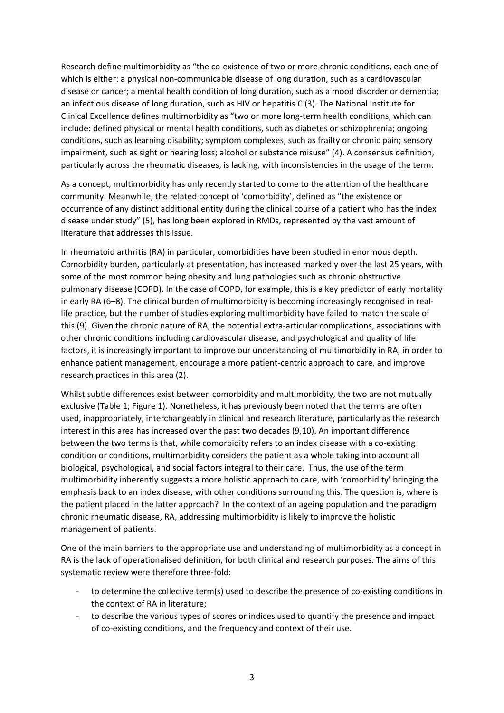Research define multimorbidity as "the co-existence of two or more chronic conditions, each one of which is either: a physical non-communicable disease of long duration, such as a cardiovascular disease or cancer; a mental health condition of long duration, such as a mood disorder or dementia; an infectious disease of long duration, such as HIV or hepatitis C (3). The National Institute for Clinical Excellence defines multimorbidity as "two or more long-term health conditions, which can include: defined physical or mental health conditions, such as diabetes or schizophrenia; ongoing conditions, such as learning disability; symptom complexes, such as frailty or chronic pain; sensory impairment, such as sight or hearing loss; alcohol or substance misuse" (4). A consensus definition, particularly across the rheumatic diseases, is lacking, with inconsistencies in the usage of the term.

As a concept, multimorbidity has only recently started to come to the attention of the healthcare community. Meanwhile, the related concept of 'comorbidity', defined as "the existence or occurrence of any distinct additional entity during the clinical course of a patient who has the index disease under study" (5), has long been explored in RMDs, represented by the vast amount of literature that addresses this issue.

In rheumatoid arthritis (RA) in particular, comorbidities have been studied in enormous depth. Comorbidity burden, particularly at presentation, has increased markedly over the last 25 years, with some of the most common being obesity and lung pathologies such as chronic obstructive pulmonary disease (COPD). In the case of COPD, for example, this is a key predictor of early mortality in early RA (6–8). The clinical burden of multimorbidity is becoming increasingly recognised in reallife practice, but the number of studies exploring multimorbidity have failed to match the scale of this (9). Given the chronic nature of RA, the potential extra-articular complications, associations with other chronic conditions including cardiovascular disease, and psychological and quality of life factors, it is increasingly important to improve our understanding of multimorbidity in RA, in order to enhance patient management, encourage a more patient-centric approach to care, and improve research practices in this area (2).

Whilst subtle differences exist between comorbidity and multimorbidity, the two are not mutually exclusive (Table 1; Figure 1). Nonetheless, it has previously been noted that the terms are often used, inappropriately, interchangeably in clinical and research literature, particularly as the research interest in this area has increased over the past two decades (9,10). An important difference between the two terms is that, while comorbidity refers to an index disease with a co-existing condition or conditions, multimorbidity considers the patient as a whole taking into account all biological, psychological, and social factors integral to their care. Thus, the use of the term multimorbidity inherently suggests a more holistic approach to care, with 'comorbidity' bringing the emphasis back to an index disease, with other conditions surrounding this. The question is, where is the patient placed in the latter approach? In the context of an ageing population and the paradigm chronic rheumatic disease, RA, addressing multimorbidity is likely to improve the holistic management of patients.

One of the main barriers to the appropriate use and understanding of multimorbidity as a concept in RA is the lack of operationalised definition, for both clinical and research purposes. The aims of this systematic review were therefore three-fold:

- to determine the collective term(s) used to describe the presence of co-existing conditions in the context of RA in literature;
- to describe the various types of scores or indices used to quantify the presence and impact of co-existing conditions, and the frequency and context of their use.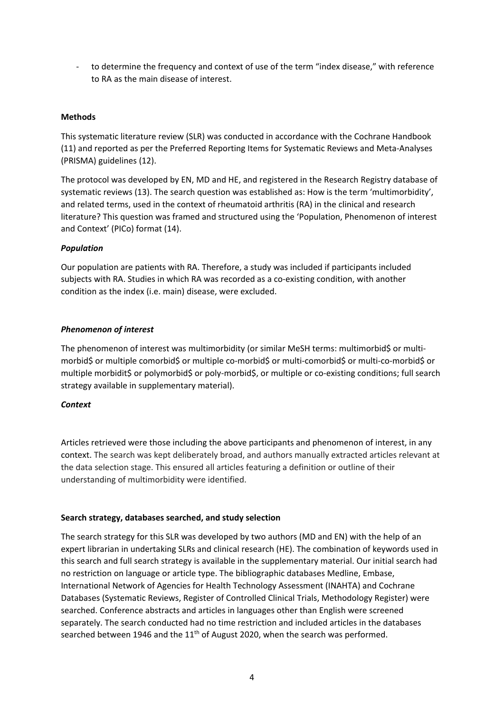- to determine the frequency and context of use of the term "index disease," with reference to RA as the main disease of interest.

### **Methods**

This systematic literature review (SLR) was conducted in accordance with the Cochrane Handbook (11) and reported as per the Preferred Reporting Items for Systematic Reviews and Meta-Analyses (PRISMA) guidelines (12).

The protocol was developed by EN, MD and HE, and registered in the Research Registry database of systematic reviews (13). The search question was established as: How is the term 'multimorbidity', and related terms, used in the context of rheumatoid arthritis (RA) in the clinical and research literature? This question was framed and structured using the 'Population, Phenomenon of interest and Context' (PICo) format (14).

#### *Population*

Our population are patients with RA. Therefore, a study was included if participants included subjects with RA. Studies in which RA was recorded as a co-existing condition, with another condition as the index (i.e. main) disease, were excluded.

# *Phenomenon of interest*

The phenomenon of interest was multimorbidity (or similar MeSH terms: multimorbid\$ or multimorbid\$ or multiple comorbid\$ or multiple co-morbid\$ or multi-comorbid\$ or multi-co-morbid\$ or multiple morbidit\$ or polymorbid\$ or poly-morbid\$, or multiple or co-existing conditions; full search strategy available in supplementary material).

#### *Context*

Articles retrieved were those including the above participants and phenomenon of interest, in any context. The search was kept deliberately broad, and authors manually extracted articles relevant at the data selection stage. This ensured all articles featuring a definition or outline of their understanding of multimorbidity were identified.

#### **Search strategy, databases searched, and study selection**

The search strategy for this SLR was developed by two authors (MD and EN) with the help of an expert librarian in undertaking SLRs and clinical research (HE). The combination of keywords used in this search and full search strategy is available in the supplementary material. Our initial search had no restriction on language or article type. The bibliographic databases Medline, Embase, International Network of Agencies for Health Technology Assessment (INAHTA) and Cochrane Databases (Systematic Reviews, Register of Controlled Clinical Trials, Methodology Register) were searched. Conference abstracts and articles in languages other than English were screened separately. The search conducted had no time restriction and included articles in the databases searched between 1946 and the  $11<sup>th</sup>$  of August 2020, when the search was performed.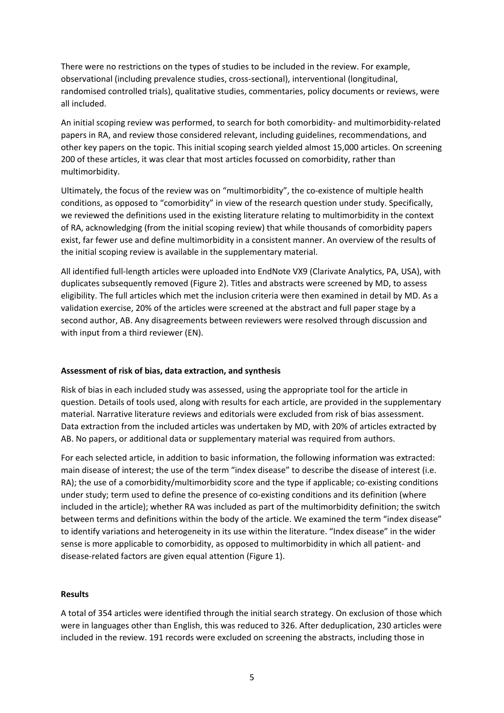There were no restrictions on the types of studies to be included in the review. For example, observational (including prevalence studies, cross-sectional), interventional (longitudinal, randomised controlled trials), qualitative studies, commentaries, policy documents or reviews, were all included.

An initial scoping review was performed, to search for both comorbidity- and multimorbidity-related papers in RA, and review those considered relevant, including guidelines, recommendations, and other key papers on the topic. This initial scoping search yielded almost 15,000 articles. On screening 200 of these articles, it was clear that most articles focussed on comorbidity, rather than multimorbidity.

Ultimately, the focus of the review was on "multimorbidity", the co-existence of multiple health conditions, as opposed to "comorbidity" in view of the research question under study. Specifically, we reviewed the definitions used in the existing literature relating to multimorbidity in the context of RA, acknowledging (from the initial scoping review) that while thousands of comorbidity papers exist, far fewer use and define multimorbidity in a consistent manner. An overview of the results of the initial scoping review is available in the supplementary material.

All identified full-length articles were uploaded into EndNote VX9 (Clarivate Analytics, PA, USA), with duplicates subsequently removed (Figure 2). Titles and abstracts were screened by MD, to assess eligibility. The full articles which met the inclusion criteria were then examined in detail by MD. As a validation exercise, 20% of the articles were screened at the abstract and full paper stage by a second author, AB. Any disagreements between reviewers were resolved through discussion and with input from a third reviewer (EN).

#### **Assessment of risk of bias, data extraction, and synthesis**

Risk of bias in each included study was assessed, using the appropriate tool for the article in question. Details of tools used, along with results for each article, are provided in the supplementary material. Narrative literature reviews and editorials were excluded from risk of bias assessment. Data extraction from the included articles was undertaken by MD, with 20% of articles extracted by AB. No papers, or additional data or supplementary material was required from authors.

For each selected article, in addition to basic information, the following information was extracted: main disease of interest; the use of the term "index disease" to describe the disease of interest (i.e. RA); the use of a comorbidity/multimorbidity score and the type if applicable; co-existing conditions under study; term used to define the presence of co-existing conditions and its definition (where included in the article); whether RA was included as part of the multimorbidity definition; the switch between terms and definitions within the body of the article. We examined the term "index disease" to identify variations and heterogeneity in its use within the literature. "Index disease" in the wider sense is more applicable to comorbidity, as opposed to multimorbidity in which all patient- and disease-related factors are given equal attention (Figure 1).

#### **Results**

A total of 354 articles were identified through the initial search strategy. On exclusion of those which were in languages other than English, this was reduced to 326. After deduplication, 230 articles were included in the review. 191 records were excluded on screening the abstracts, including those in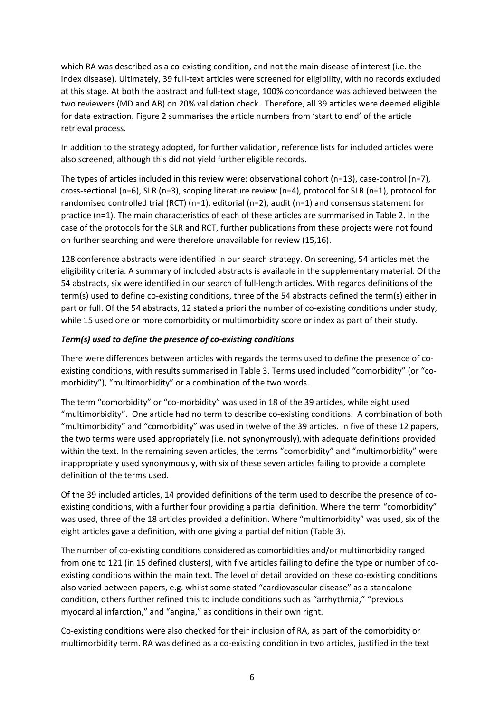which RA was described as a co-existing condition, and not the main disease of interest (i.e. the index disease). Ultimately, 39 full-text articles were screened for eligibility, with no records excluded at this stage. At both the abstract and full-text stage, 100% concordance was achieved between the two reviewers (MD and AB) on 20% validation check. Therefore, all 39 articles were deemed eligible for data extraction. Figure 2 summarises the article numbers from 'start to end' of the article retrieval process.

In addition to the strategy adopted, for further validation, reference lists for included articles were also screened, although this did not yield further eligible records.

The types of articles included in this review were: observational cohort (n=13), case-control (n=7), cross-sectional (n=6), SLR (n=3), scoping literature review (n=4), protocol for SLR (n=1), protocol for randomised controlled trial (RCT) (n=1), editorial (n=2), audit (n=1) and consensus statement for practice (n=1). The main characteristics of each of these articles are summarised in Table 2. In the case of the protocols for the SLR and RCT, further publications from these projects were not found on further searching and were therefore unavailable for review (15,16).

128 conference abstracts were identified in our search strategy. On screening, 54 articles met the eligibility criteria. A summary of included abstracts is available in the supplementary material. Of the 54 abstracts, six were identified in our search of full-length articles. With regards definitions of the term(s) used to define co-existing conditions, three of the 54 abstracts defined the term(s) either in part or full. Of the 54 abstracts, 12 stated a priori the number of co-existing conditions under study, while 15 used one or more comorbidity or multimorbidity score or index as part of their study.

# *Term(s) used to define the presence of co-existing conditions*

There were differences between articles with regards the terms used to define the presence of coexisting conditions, with results summarised in Table 3. Terms used included "comorbidity" (or "comorbidity"), "multimorbidity" or a combination of the two words.

The term "comorbidity" or "co-morbidity" was used in 18 of the 39 articles, while eight used "multimorbidity". One article had no term to describe co-existing conditions. A combination of both "multimorbidity" and "comorbidity" was used in twelve of the 39 articles. In five of these 12 papers, the two terms were used appropriately (i.e. not synonymously), with adequate definitions provided within the text. In the remaining seven articles, the terms "comorbidity" and "multimorbidity" were inappropriately used synonymously, with six of these seven articles failing to provide a complete definition of the terms used.

Of the 39 included articles, 14 provided definitions of the term used to describe the presence of coexisting conditions, with a further four providing a partial definition. Where the term "comorbidity" was used, three of the 18 articles provided a definition. Where "multimorbidity" was used, six of the eight articles gave a definition, with one giving a partial definition (Table 3).

The number of co-existing conditions considered as comorbidities and/or multimorbidity ranged from one to 121 (in 15 defined clusters), with five articles failing to define the type or number of coexisting conditions within the main text. The level of detail provided on these co-existing conditions also varied between papers, e.g. whilst some stated "cardiovascular disease" as a standalone condition, others further refined this to include conditions such as "arrhythmia," "previous myocardial infarction," and "angina," as conditions in their own right.

Co-existing conditions were also checked for their inclusion of RA, as part of the comorbidity or multimorbidity term. RA was defined as a co-existing condition in two articles, justified in the text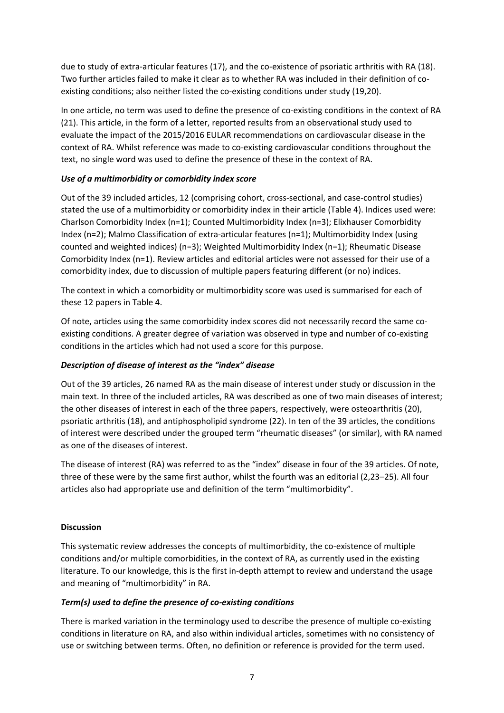due to study of extra-articular features (17), and the co-existence of psoriatic arthritis with RA (18). Two further articles failed to make it clear as to whether RA was included in their definition of coexisting conditions; also neither listed the co-existing conditions under study (19,20).

In one article, no term was used to define the presence of co-existing conditions in the context of RA (21). This article, in the form of a letter, reported results from an observational study used to evaluate the impact of the 2015/2016 EULAR recommendations on cardiovascular disease in the context of RA. Whilst reference was made to co-existing cardiovascular conditions throughout the text, no single word was used to define the presence of these in the context of RA.

# *Use of a multimorbidity or comorbidity index score*

Out of the 39 included articles, 12 (comprising cohort, cross-sectional, and case-control studies) stated the use of a multimorbidity or comorbidity index in their article (Table 4). Indices used were: Charlson Comorbidity Index (n=1); Counted Multimorbidity Index (n=3); Elixhauser Comorbidity Index (n=2); Malmo Classification of extra-articular features (n=1); Multimorbidity Index (using counted and weighted indices) (n=3); Weighted Multimorbidity Index (n=1); Rheumatic Disease Comorbidity Index (n=1). Review articles and editorial articles were not assessed for their use of a comorbidity index, due to discussion of multiple papers featuring different (or no) indices.

The context in which a comorbidity or multimorbidity score was used is summarised for each of these 12 papers in Table 4.

Of note, articles using the same comorbidity index scores did not necessarily record the same coexisting conditions. A greater degree of variation was observed in type and number of co-existing conditions in the articles which had not used a score for this purpose.

# *Description of disease of interest as the "index" disease*

Out of the 39 articles, 26 named RA as the main disease of interest under study or discussion in the main text. In three of the included articles, RA was described as one of two main diseases of interest; the other diseases of interest in each of the three papers, respectively, were osteoarthritis (20), psoriatic arthritis (18), and antiphospholipid syndrome (22). In ten of the 39 articles, the conditions of interest were described under the grouped term "rheumatic diseases" (or similar), with RA named as one of the diseases of interest.

The disease of interest (RA) was referred to as the "index" disease in four of the 39 articles. Of note, three of these were by the same first author, whilst the fourth was an editorial (2,23–25). All four articles also had appropriate use and definition of the term "multimorbidity".

# **Discussion**

This systematic review addresses the concepts of multimorbidity, the co-existence of multiple conditions and/or multiple comorbidities, in the context of RA, as currently used in the existing literature. To our knowledge, this is the first in-depth attempt to review and understand the usage and meaning of "multimorbidity" in RA.

# *Term(s) used to define the presence of co-existing conditions*

There is marked variation in the terminology used to describe the presence of multiple co-existing conditions in literature on RA, and also within individual articles, sometimes with no consistency of use or switching between terms. Often, no definition or reference is provided for the term used.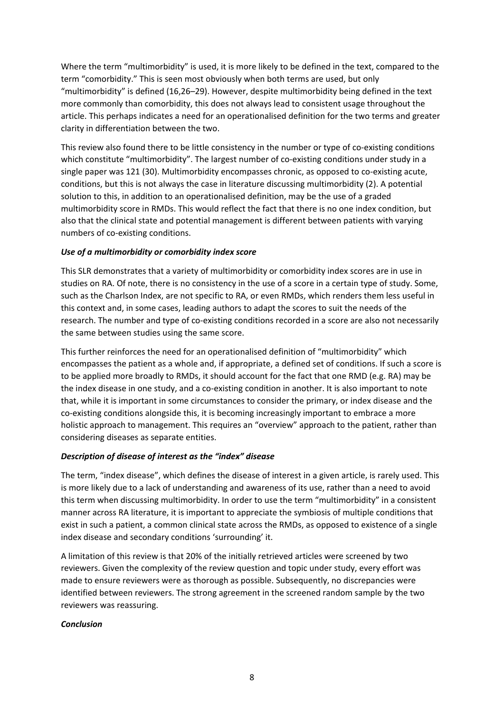Where the term "multimorbidity" is used, it is more likely to be defined in the text, compared to the term "comorbidity." This is seen most obviously when both terms are used, but only "multimorbidity" is defined (16,26–29). However, despite multimorbidity being defined in the text more commonly than comorbidity, this does not always lead to consistent usage throughout the article. This perhaps indicates a need for an operationalised definition for the two terms and greater clarity in differentiation between the two.

This review also found there to be little consistency in the number or type of co-existing conditions which constitute "multimorbidity". The largest number of co-existing conditions under study in a single paper was 121 (30). Multimorbidity encompasses chronic, as opposed to co-existing acute, conditions, but this is not always the case in literature discussing multimorbidity (2). A potential solution to this, in addition to an operationalised definition, may be the use of a graded multimorbidity score in RMDs. This would reflect the fact that there is no one index condition, but also that the clinical state and potential management is different between patients with varying numbers of co-existing conditions.

# *Use of a multimorbidity or comorbidity index score*

This SLR demonstrates that a variety of multimorbidity or comorbidity index scores are in use in studies on RA. Of note, there is no consistency in the use of a score in a certain type of study. Some, such as the Charlson Index, are not specific to RA, or even RMDs, which renders them less useful in this context and, in some cases, leading authors to adapt the scores to suit the needs of the research. The number and type of co-existing conditions recorded in a score are also not necessarily the same between studies using the same score.

This further reinforces the need for an operationalised definition of "multimorbidity" which encompasses the patient as a whole and, if appropriate, a defined set of conditions. If such a score is to be applied more broadly to RMDs, it should account for the fact that one RMD (e.g. RA) may be the index disease in one study, and a co-existing condition in another. It is also important to note that, while it is important in some circumstances to consider the primary, or index disease and the co-existing conditions alongside this, it is becoming increasingly important to embrace a more holistic approach to management. This requires an "overview" approach to the patient, rather than considering diseases as separate entities.

#### *Description of disease of interest as the "index" disease*

The term, "index disease", which defines the disease of interest in a given article, is rarely used. This is more likely due to a lack of understanding and awareness of its use, rather than a need to avoid this term when discussing multimorbidity. In order to use the term "multimorbidity" in a consistent manner across RA literature, it is important to appreciate the symbiosis of multiple conditions that exist in such a patient, a common clinical state across the RMDs, as opposed to existence of a single index disease and secondary conditions 'surrounding' it.

A limitation of this review is that 20% of the initially retrieved articles were screened by two reviewers. Given the complexity of the review question and topic under study, every effort was made to ensure reviewers were as thorough as possible. Subsequently, no discrepancies were identified between reviewers. The strong agreement in the screened random sample by the two reviewers was reassuring.

#### *Conclusion*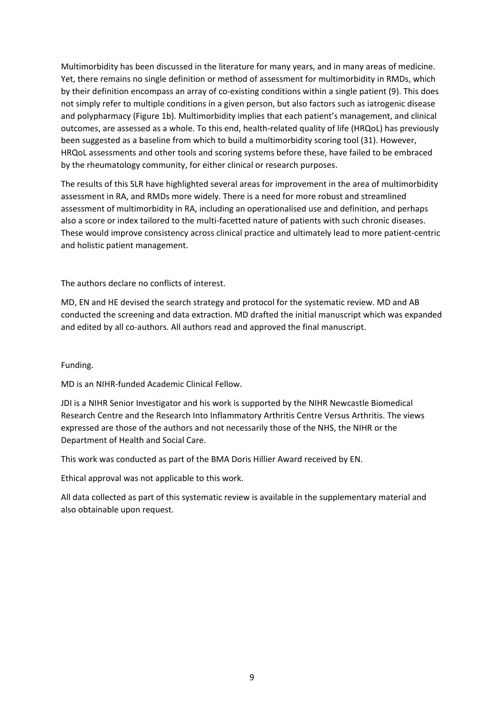Multimorbidity has been discussed in the literature for many years, and in many areas of medicine. Yet, there remains no single definition or method of assessment for multimorbidity in RMDs, which by their definition encompass an array of co-existing conditions within a single patient (9). This does not simply refer to multiple conditions in a given person, but also factors such as iatrogenic disease and polypharmacy (Figure 1b). Multimorbidity implies that each patient's management, and clinical outcomes, are assessed as a whole. To this end, health-related quality of life (HRQoL) has previously been suggested as a baseline from which to build a multimorbidity scoring tool (31). However, HRQoL assessments and other tools and scoring systems before these, have failed to be embraced by the rheumatology community, for either clinical or research purposes.

The results of this SLR have highlighted several areas for improvement in the area of multimorbidity assessment in RA, and RMDs more widely. There is a need for more robust and streamlined assessment of multimorbidity in RA, including an operationalised use and definition, and perhaps also a score or index tailored to the multi-facetted nature of patients with such chronic diseases. These would improve consistency across clinical practice and ultimately lead to more patient-centric and holistic patient management.

The authors declare no conflicts of interest.

MD, EN and HE devised the search strategy and protocol for the systematic review. MD and AB conducted the screening and data extraction. MD drafted the initial manuscript which was expanded and edited by all co-authors. All authors read and approved the final manuscript.

Funding.

MD is an NIHR-funded Academic Clinical Fellow.

JDI is a NIHR Senior Investigator and his work is supported by the NIHR Newcastle Biomedical Research Centre and the Research Into Inflammatory Arthritis Centre Versus Arthritis. The views expressed are those of the authors and not necessarily those of the NHS, the NIHR or the Department of Health and Social Care.

This work was conducted as part of the BMA Doris Hillier Award received by EN.

Ethical approval was not applicable to this work.

All data collected as part of this systematic review is available in the supplementary material and also obtainable upon request.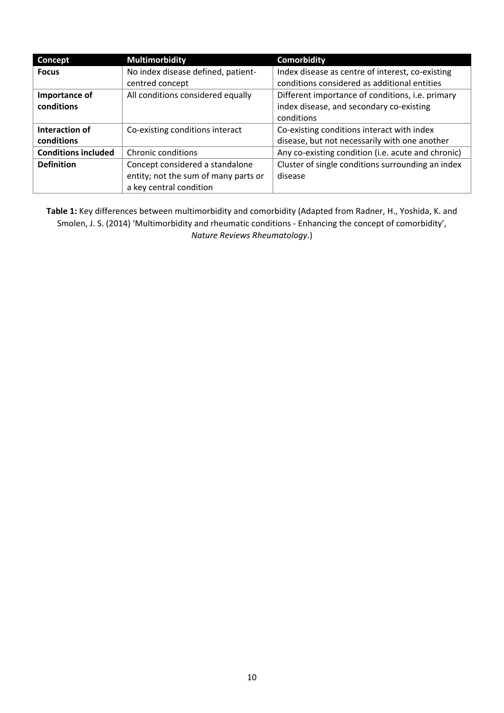| Concept                    | <b>Multimorbidity</b>                | <b>Comorbidity</b>                                 |
|----------------------------|--------------------------------------|----------------------------------------------------|
| <b>Focus</b>               | No index disease defined, patient-   | Index disease as centre of interest, co-existing   |
|                            | centred concept                      | conditions considered as additional entities       |
| Importance of              | All conditions considered equally    | Different importance of conditions, i.e. primary   |
| conditions                 |                                      | index disease, and secondary co-existing           |
|                            |                                      | conditions                                         |
| Interaction of             | Co-existing conditions interact      | Co-existing conditions interact with index         |
| conditions                 |                                      | disease, but not necessarily with one another      |
| <b>Conditions included</b> | Chronic conditions                   | Any co-existing condition (i.e. acute and chronic) |
| <b>Definition</b>          | Concept considered a standalone      | Cluster of single conditions surrounding an index  |
|                            | entity; not the sum of many parts or | disease                                            |
|                            | a key central condition              |                                                    |

**Table 1:** Key differences between multimorbidity and comorbidity (Adapted from Radner, H., Yoshida, K. and Smolen, J. S. (2014) 'Multimorbidity and rheumatic conditions - Enhancing the concept of comorbidity', *Nature Reviews Rheumatology*.)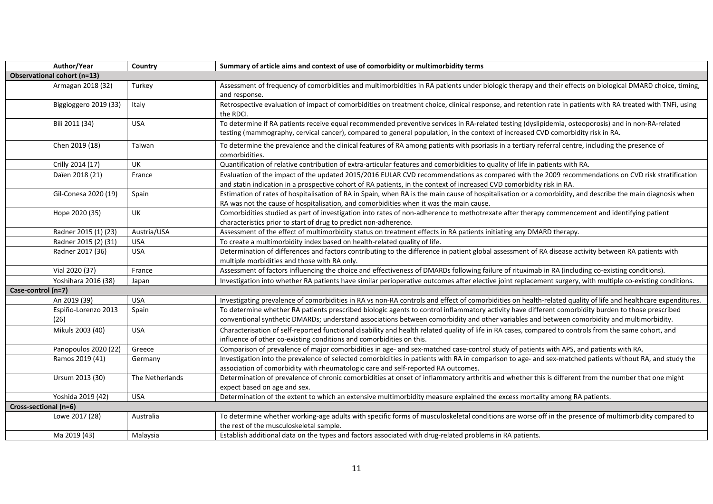| Author/Year                        | Country         | Summary of article aims and context of use of comorbidity or multimorbidity terms                                                                                                                                                                                                                |  |
|------------------------------------|-----------------|--------------------------------------------------------------------------------------------------------------------------------------------------------------------------------------------------------------------------------------------------------------------------------------------------|--|
| <b>Observational cohort (n=13)</b> |                 |                                                                                                                                                                                                                                                                                                  |  |
| Armagan 2018 (32)                  | Turkey          | Assessment of frequency of comorbidities and multimorbidities in RA patients under biologic therapy and their effects on biological DMARD choice, timing,<br>and response.                                                                                                                       |  |
| Biggioggero 2019 (33)              | Italy           | Retrospective evaluation of impact of comorbidities on treatment choice, clinical response, and retention rate in patients with RA treated with TNFi, using<br>the RDCI.                                                                                                                         |  |
| Bili 2011 (34)                     | <b>USA</b>      | To determine if RA patients receive equal recommended preventive services in RA-related testing (dyslipidemia, osteoporosis) and in non-RA-related<br>testing (mammography, cervical cancer), compared to general population, in the context of increased CVD comorbidity risk in RA.            |  |
| Chen 2019 (18)                     | Taiwan          | To determine the prevalence and the clinical features of RA among patients with psoriasis in a tertiary referral centre, including the presence of<br>comorbidities.                                                                                                                             |  |
| Crilly 2014 (17)                   | UK              | Quantification of relative contribution of extra-articular features and comorbidities to quality of life in patients with RA.                                                                                                                                                                    |  |
| Daïen 2018 (21)                    | France          | Evaluation of the impact of the updated 2015/2016 EULAR CVD recommendations as compared with the 2009 recommendations on CVD risk stratification<br>and statin indication in a prospective cohort of RA patients, in the context of increased CVD comorbidity risk in RA.                        |  |
| Gil-Conesa 2020 (19)               | Spain           | Estimation of rates of hospitalisation of RA in Spain, when RA is the main cause of hospitalisation or a comorbidity, and describe the main diagnosis when<br>RA was not the cause of hospitalisation, and comorbidities when it was the main cause.                                             |  |
| Hope 2020 (35)                     | <b>UK</b>       | Comorbidities studied as part of investigation into rates of non-adherence to methotrexate after therapy commencement and identifying patient<br>characteristics prior to start of drug to predict non-adherence.                                                                                |  |
| Radner 2015 (1) (23)               | Austria/USA     | Assessment of the effect of multimorbidity status on treatment effects in RA patients initiating any DMARD therapy.                                                                                                                                                                              |  |
| Radner 2015 (2) (31)               | <b>USA</b>      | To create a multimorbidity index based on health-related quality of life.                                                                                                                                                                                                                        |  |
| Radner 2017 (36)                   | <b>USA</b>      | Determination of differences and factors contributing to the difference in patient global assessment of RA disease activity between RA patients with<br>multiple morbidities and those with RA only.                                                                                             |  |
| Vial 2020 (37)                     | France          | Assessment of factors influencing the choice and effectiveness of DMARDs following failure of rituximab in RA (including co-existing conditions).                                                                                                                                                |  |
| Yoshihara 2016 (38)                | Japan           | Investigation into whether RA patients have similar perioperative outcomes after elective joint replacement surgery, with multiple co-existing conditions.                                                                                                                                       |  |
| Case-control (n=7)                 |                 |                                                                                                                                                                                                                                                                                                  |  |
| An 2019 (39)                       | <b>USA</b>      | Investigating prevalence of comorbidities in RA vs non-RA controls and effect of comorbidities on health-related quality of life and healthcare expenditures.                                                                                                                                    |  |
| Espiño-Lorenzo 2013<br>(26)        | Spain           | To determine whether RA patients prescribed biologic agents to control inflammatory activity have different comorbidity burden to those prescribed<br>conventional synthetic DMARDs; understand associations between comorbidity and other variables and between comorbidity and multimorbidity. |  |
| Mikuls 2003 (40)                   | <b>USA</b>      | Characterisation of self-reported functional disability and health related quality of life in RA cases, compared to controls from the same cohort, and<br>influence of other co-existing conditions and comorbidities on this.                                                                   |  |
| Panopoulos 2020 (22)               | Greece          | Comparison of prevalence of major comorbidities in age- and sex-matched case-control study of patients with APS, and patients with RA.                                                                                                                                                           |  |
| Ramos 2019 (41)                    | Germany         | Investigation into the prevalence of selected comorbidities in patients with RA in comparison to age- and sex-matched patients without RA, and study the<br>association of comorbidity with rheumatologic care and self-reported RA outcomes.                                                    |  |
| Ursum 2013 (30)                    | The Netherlands | Determination of prevalence of chronic comorbidities at onset of inflammatory arthritis and whether this is different from the number that one might<br>expect based on age and sex.                                                                                                             |  |
| Yoshida 2019 (42)                  | <b>USA</b>      | Determination of the extent to which an extensive multimorbidity measure explained the excess mortality among RA patients.                                                                                                                                                                       |  |
| Cross-sectional (n=6)              |                 |                                                                                                                                                                                                                                                                                                  |  |
| Lowe 2017 (28)                     | Australia       | To determine whether working-age adults with specific forms of musculoskeletal conditions are worse off in the presence of multimorbidity compared to<br>the rest of the musculoskeletal sample.                                                                                                 |  |
| Ma 2019 (43)                       | Malaysia        | Establish additional data on the types and factors associated with drug-related problems in RA patients.                                                                                                                                                                                         |  |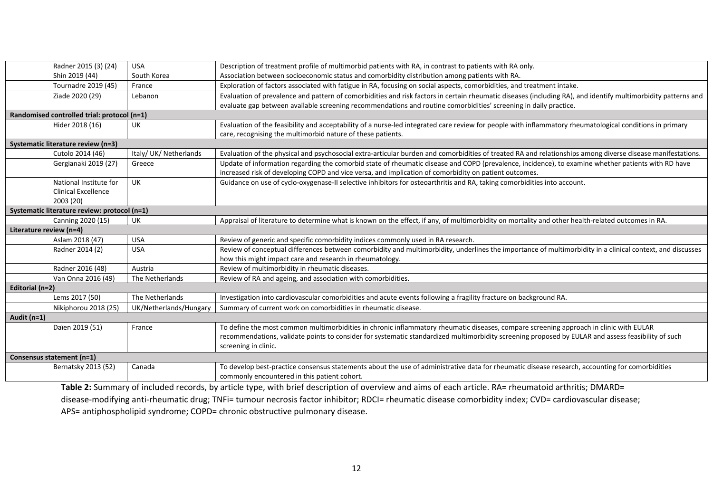|                                              | Radner 2015 (3) (24)                        | <b>USA</b>             | Description of treatment profile of multimorbid patients with RA, in contrast to patients with RA only.                                                       |
|----------------------------------------------|---------------------------------------------|------------------------|---------------------------------------------------------------------------------------------------------------------------------------------------------------|
|                                              | Shin 2019 (44)                              | South Korea            | Association between socioeconomic status and comorbidity distribution among patients with RA.                                                                 |
|                                              | Tournadre 2019 (45)                         | France                 | Exploration of factors associated with fatigue in RA, focusing on social aspects, comorbidities, and treatment intake.                                        |
|                                              | Ziade 2020 (29)                             | Lebanon                | Evaluation of prevalence and pattern of comorbidities and risk factors in certain rheumatic diseases (including RA), and identify multimorbidity patterns and |
|                                              |                                             |                        | evaluate gap between available screening recommendations and routine comorbidities' screening in daily practice.                                              |
|                                              | Randomised controlled trial: protocol (n=1) |                        |                                                                                                                                                               |
|                                              | Hider 2018 (16)                             | UK                     | Evaluation of the feasibility and acceptability of a nurse-led integrated care review for people with inflammatory rheumatological conditions in primary      |
|                                              |                                             |                        | care, recognising the multimorbid nature of these patients.                                                                                                   |
|                                              | Systematic literature review (n=3)          |                        |                                                                                                                                                               |
|                                              | Cutolo 2014 (46)                            | Italy/ UK/ Netherlands | Evaluation of the physical and psychosocial extra-articular burden and comorbidities of treated RA and relationships among diverse disease manifestations.    |
|                                              | Gergianaki 2019 (27)                        | Greece                 | Update of information regarding the comorbid state of rheumatic disease and COPD (prevalence, incidence), to examine whether patients with RD have            |
|                                              |                                             |                        | increased risk of developing COPD and vice versa, and implication of comorbidity on patient outcomes.                                                         |
|                                              | National Institute for                      | <b>UK</b>              | Guidance on use of cyclo-oxygenase-II selective inhibitors for osteoarthritis and RA, taking comorbidities into account.                                      |
|                                              | <b>Clinical Excellence</b>                  |                        |                                                                                                                                                               |
|                                              | 2003 (20)                                   |                        |                                                                                                                                                               |
| Systematic literature review: protocol (n=1) |                                             |                        |                                                                                                                                                               |
|                                              | Canning 2020 (15)                           | UK                     | Appraisal of literature to determine what is known on the effect, if any, of multimorbidity on mortality and other health-related outcomes in RA.             |
| Literature review (n=4)                      |                                             |                        |                                                                                                                                                               |
|                                              | Aslam 2018 (47)                             | <b>USA</b>             | Review of generic and specific comorbidity indices commonly used in RA research.                                                                              |
|                                              | Radner 2014 (2)                             | <b>USA</b>             | Review of conceptual differences between comorbidity and multimorbidity, underlines the importance of multimorbidity in a clinical context, and discusses     |
|                                              |                                             |                        | how this might impact care and research in rheumatology.                                                                                                      |
|                                              | Radner 2016 (48)                            | Austria                | Review of multimorbidity in rheumatic diseases.                                                                                                               |
|                                              | Van Onna 2016 (49)                          | The Netherlands        | Review of RA and ageing, and association with comorbidities.                                                                                                  |
| Editorial (n=2)                              |                                             |                        |                                                                                                                                                               |
|                                              | Lems 2017 (50)                              | The Netherlands        | Investigation into cardiovascular comorbidities and acute events following a fragility fracture on background RA.                                             |
|                                              | Nikiphorou 2018 (25)                        | UK/Netherlands/Hungary | Summary of current work on comorbidities in rheumatic disease.                                                                                                |
| Audit (n=1)                                  |                                             |                        |                                                                                                                                                               |
|                                              | Daïen 2019 (51)                             | France                 | To define the most common multimorbidities in chronic inflammatory rheumatic diseases, compare screening approach in clinic with EULAR                        |
|                                              |                                             |                        | recommendations, validate points to consider for systematic standardized multimorbidity screening proposed by EULAR and assess feasibility of such            |
|                                              |                                             |                        | screening in clinic.                                                                                                                                          |
|                                              | Consensus statement (n=1)                   |                        |                                                                                                                                                               |
|                                              | Bernatsky 2013 (52)                         | Canada                 | To develop best-practice consensus statements about the use of administrative data for rheumatic disease research, accounting for comorbidities               |
|                                              |                                             |                        | commonly encountered in this patient cohort.                                                                                                                  |
|                                              |                                             |                        | <b>Table 2:</b> Summary of included records, by article type with brief description of overview and aims of each article. RA= rheumatoid arthritis: DMARD=    |

Table 2: Summary of included records, by article type, with brief description of overview and aims of each article. RA= rheumatoid arthritis; DMARD= disease-modifying anti-rheumatic drug; TNFi= tumour necrosis factor inhibitor; RDCI= rheumatic disease comorbidity index; CVD= cardiovascular disease; APS= antiphospholipid syndrome; COPD= chronic obstructive pulmonary disease.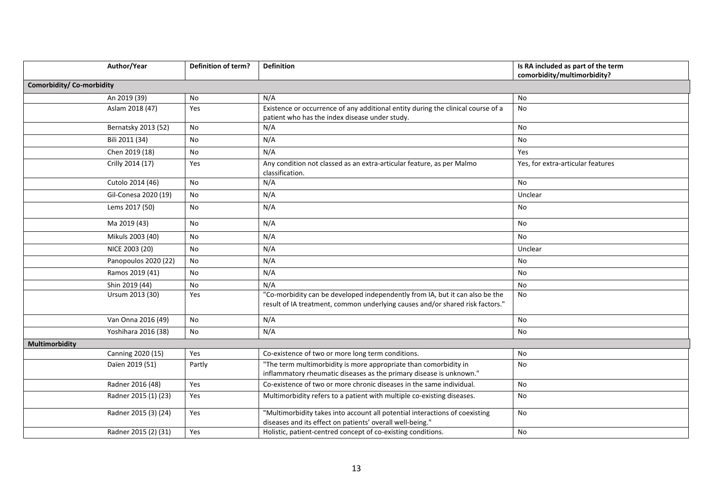| Author/Year                     | <b>Definition of term?</b> | <b>Definition</b>                                                                                                                                             | Is RA included as part of the term |
|---------------------------------|----------------------------|---------------------------------------------------------------------------------------------------------------------------------------------------------------|------------------------------------|
|                                 |                            |                                                                                                                                                               | comorbidity/multimorbidity?        |
| <b>Comorbidity/Co-morbidity</b> |                            |                                                                                                                                                               |                                    |
| An 2019 (39)                    | No                         | N/A                                                                                                                                                           | No                                 |
| Aslam 2018 (47)                 | Yes                        | Existence or occurrence of any additional entity during the clinical course of a                                                                              | No                                 |
|                                 |                            | patient who has the index disease under study.                                                                                                                |                                    |
| Bernatsky 2013 (52)             | No                         | N/A                                                                                                                                                           | <b>No</b>                          |
| Bili 2011 (34)                  | No                         | N/A                                                                                                                                                           | No                                 |
| Chen 2019 (18)                  | No                         | N/A                                                                                                                                                           | Yes                                |
| Crilly 2014 (17)                | Yes                        | Any condition not classed as an extra-articular feature, as per Malmo<br>classification.                                                                      | Yes, for extra-articular features  |
| Cutolo 2014 (46)                | No                         | N/A                                                                                                                                                           | <b>No</b>                          |
| Gil-Conesa 2020 (19)            | No                         | N/A                                                                                                                                                           | Unclear                            |
| Lems 2017 (50)                  | No                         | N/A                                                                                                                                                           | No                                 |
| Ma 2019 (43)                    | No                         | N/A                                                                                                                                                           | No                                 |
| Mikuls 2003 (40)                | No                         | N/A                                                                                                                                                           | <b>No</b>                          |
| NICE 2003 (20)                  | No                         | N/A                                                                                                                                                           | Unclear                            |
| Panopoulos 2020 (22)            | No                         | N/A                                                                                                                                                           | No                                 |
| Ramos 2019 (41)                 | No                         | N/A                                                                                                                                                           | No                                 |
| Shin 2019 (44)                  | No                         | N/A                                                                                                                                                           | No                                 |
| Ursum 2013 (30)                 | Yes                        | "Co-morbidity can be developed independently from IA, but it can also be the<br>result of IA treatment, common underlying causes and/or shared risk factors." | <b>No</b>                          |
| Van Onna 2016 (49)              | No                         | N/A                                                                                                                                                           | No                                 |
| Yoshihara 2016 (38)             | No                         | N/A                                                                                                                                                           | No                                 |
| <b>Multimorbidity</b>           |                            |                                                                                                                                                               |                                    |
| Canning 2020 (15)               | Yes                        | Co-existence of two or more long term conditions.                                                                                                             | No                                 |
| Daïen 2019 (51)                 | Partly                     | "The term multimorbidity is more appropriate than comorbidity in<br>inflammatory rheumatic diseases as the primary disease is unknown."                       | No                                 |
| Radner 2016 (48)                | Yes                        | Co-existence of two or more chronic diseases in the same individual.                                                                                          | <b>No</b>                          |
| Radner 2015 (1) (23)            | Yes                        | Multimorbidity refers to a patient with multiple co-existing diseases.                                                                                        | No                                 |
| Radner 2015 (3) (24)            | Yes                        | "Multimorbidity takes into account all potential interactions of coexisting<br>diseases and its effect on patients' overall well-being."                      | <b>No</b>                          |
| Radner 2015 (2) (31)            | Yes                        | Holistic, patient-centred concept of co-existing conditions.                                                                                                  | No                                 |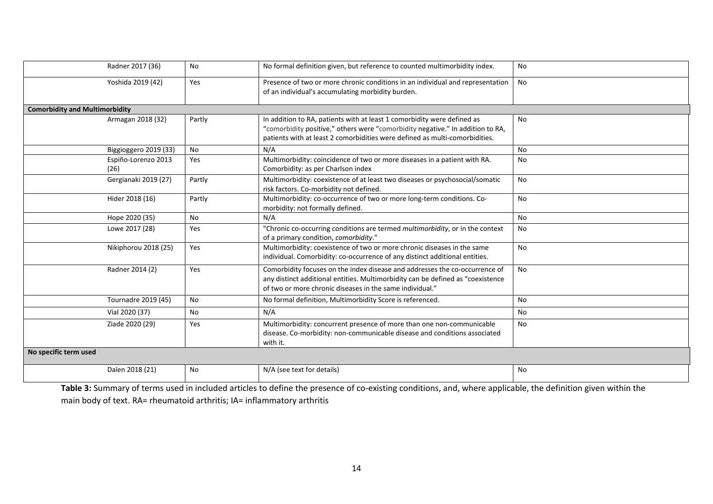| Radner 2017 (36)                      | <b>No</b> | No formal definition given, but reference to counted multimorbidity index.                                                                                                                                                               | No        |
|---------------------------------------|-----------|------------------------------------------------------------------------------------------------------------------------------------------------------------------------------------------------------------------------------------------|-----------|
| Yoshida 2019 (42)                     | Yes       | Presence of two or more chronic conditions in an individual and representation<br>of an individual's accumulating morbidity burden.                                                                                                      | No        |
| <b>Comorbidity and Multimorbidity</b> |           |                                                                                                                                                                                                                                          |           |
| Armagan 2018 (32)                     | Partly    | In addition to RA, patients with at least 1 comorbidity were defined as<br>"comorbidity positive," others were "comorbidity negative." In addition to RA,<br>patients with at least 2 comorbidities were defined as multi-comorbidities. | No        |
| Biggioggero 2019 (33)                 | <b>No</b> | N/A                                                                                                                                                                                                                                      | No        |
| Espiño-Lorenzo 2013<br>(26)           | Yes       | Multimorbidity: coincidence of two or more diseases in a patient with RA.<br>Comorbidity: as per Charlson index                                                                                                                          | <b>No</b> |
| Gergianaki 2019 (27)                  | Partly    | Multimorbidity: coexistence of at least two diseases or psychosocial/somatic<br>risk factors. Co-morbidity not defined.                                                                                                                  | No        |
| Hider 2018 (16)                       | Partly    | Multimorbidity: co-occurrence of two or more long-term conditions. Co-<br>morbidity: not formally defined.                                                                                                                               | No        |
| Hope 2020 (35)                        | <b>No</b> | N/A                                                                                                                                                                                                                                      | No        |
| Lowe 2017 (28)                        | Yes       | "Chronic co-occurring conditions are termed multimorbidity, or in the context<br>of a primary condition, comorbidity."                                                                                                                   | No        |
| Nikiphorou 2018 (25)                  | Yes       | Multimorbidity: coexistence of two or more chronic diseases in the same<br>individual. Comorbidity: co-occurrence of any distinct additional entities.                                                                                   | <b>No</b> |
| Radner 2014 (2)                       | Yes       | Comorbidity focuses on the index disease and addresses the co-occurrence of<br>any distinct additional entities. Multimorbidity can be defined as "coexistence<br>of two or more chronic diseases in the same individual."               | No        |
| Tournadre 2019 (45)                   | <b>No</b> | No formal definition, Multimorbidity Score is referenced.                                                                                                                                                                                | No        |
| Vial 2020 (37)                        | No        | N/A                                                                                                                                                                                                                                      | No        |
| Ziade 2020 (29)                       | Yes       | Multimorbidity: concurrent presence of more than one non-communicable<br>disease. Co-morbidity: non-communicable disease and conditions associated<br>with it.                                                                           | <b>No</b> |
| No specific term used                 |           |                                                                                                                                                                                                                                          |           |
| Daïen 2018 (21)                       | No        | N/A (see text for details)                                                                                                                                                                                                               | No        |

**Table 3:** Summary of terms used in included articles to define the presence of co-existing conditions, and, where applicable, the definition given within the main body of text. RA= rheumatoid arthritis; IA= inflammatory arthritis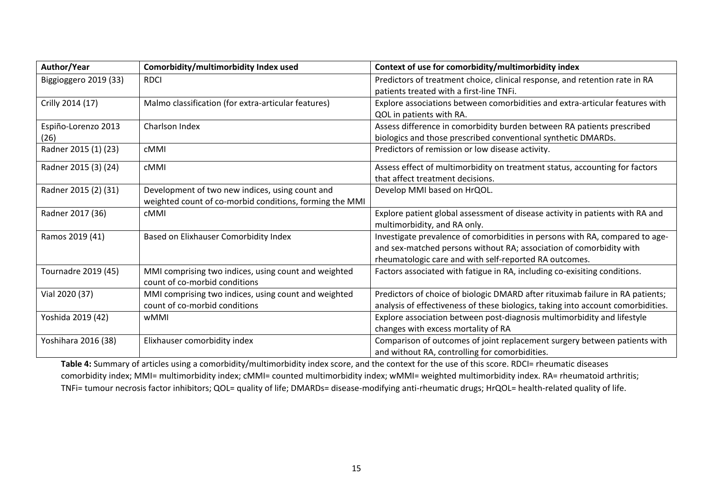| Author/Year           | Comorbidity/multimorbidity Index used                                                 | Context of use for comorbidity/multimorbidity index                              |
|-----------------------|---------------------------------------------------------------------------------------|----------------------------------------------------------------------------------|
| Biggioggero 2019 (33) | <b>RDCI</b>                                                                           | Predictors of treatment choice, clinical response, and retention rate in RA      |
|                       |                                                                                       | patients treated with a first-line TNFi.                                         |
| Crilly 2014 (17)      | Malmo classification (for extra-articular features)                                   | Explore associations between comorbidities and extra-articular features with     |
|                       |                                                                                       | QOL in patients with RA.                                                         |
| Espiño-Lorenzo 2013   | Charlson Index                                                                        | Assess difference in comorbidity burden between RA patients prescribed           |
| (26)                  |                                                                                       | biologics and those prescribed conventional synthetic DMARDs.                    |
| Radner 2015 (1) (23)  | cMMI                                                                                  | Predictors of remission or low disease activity.                                 |
| Radner 2015 (3) (24)  | cMMI                                                                                  | Assess effect of multimorbidity on treatment status, accounting for factors      |
|                       |                                                                                       | that affect treatment decisions.                                                 |
| Radner 2015 (2) (31)  | Development of two new indices, using count and                                       | Develop MMI based on HrQOL.                                                      |
|                       | weighted count of co-morbid conditions, forming the MMI                               |                                                                                  |
| Radner 2017 (36)      | cMMI                                                                                  | Explore patient global assessment of disease activity in patients with RA and    |
|                       |                                                                                       | multimorbidity, and RA only.                                                     |
| Ramos 2019 (41)       | Based on Elixhauser Comorbidity Index                                                 | Investigate prevalence of comorbidities in persons with RA, compared to age-     |
|                       |                                                                                       | and sex-matched persons without RA; association of comorbidity with              |
|                       |                                                                                       | rheumatologic care and with self-reported RA outcomes.                           |
| Tournadre 2019 (45)   | MMI comprising two indices, using count and weighted<br>count of co-morbid conditions | Factors associated with fatigue in RA, including co-exisiting conditions.        |
| Vial 2020 (37)        | MMI comprising two indices, using count and weighted                                  | Predictors of choice of biologic DMARD after rituximab failure in RA patients;   |
|                       | count of co-morbid conditions                                                         | analysis of effectiveness of these biologics, taking into account comorbidities. |
| Yoshida 2019 (42)     | wMMI                                                                                  | Explore association between post-diagnosis multimorbidity and lifestyle          |
|                       |                                                                                       | changes with excess mortality of RA                                              |
| Yoshihara 2016 (38)   | Elixhauser comorbidity index                                                          | Comparison of outcomes of joint replacement surgery between patients with        |
|                       |                                                                                       | and without RA, controlling for comorbidities.                                   |

Table 4: Summary of articles using a comorbidity/multimorbidity index score, and the context for the use of this score. RDCI= rheumatic diseases comorbidity index; MMI= multimorbidity index; cMMI= counted multimorbidity index; wMMI= weighted multimorbidity index. RA= rheumatoid arthritis; TNFi= tumour necrosis factor inhibitors; QOL= quality of life; DMARDs= disease-modifying anti-rheumatic drugs; HrQOL= health-related quality of life.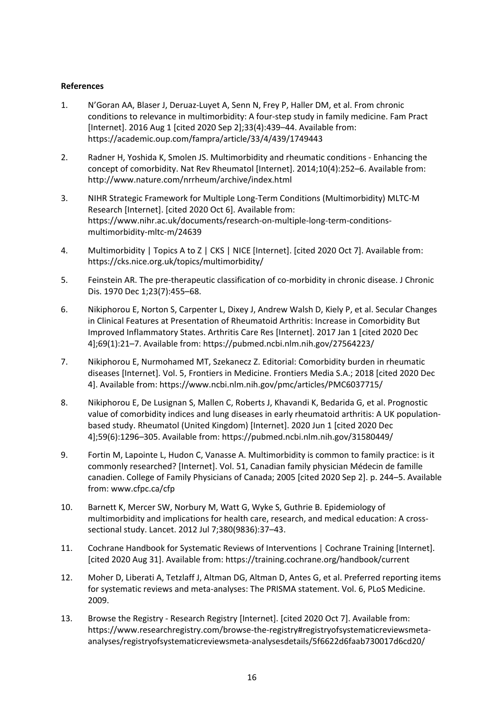# **References**

- 1. N'Goran AA, Blaser J, Deruaz-Luyet A, Senn N, Frey P, Haller DM, et al. From chronic conditions to relevance in multimorbidity: A four-step study in family medicine. Fam Pract [Internet]. 2016 Aug 1 [cited 2020 Sep 2];33(4):439–44. Available from: https://academic.oup.com/fampra/article/33/4/439/1749443
- 2. Radner H, Yoshida K, Smolen JS. Multimorbidity and rheumatic conditions Enhancing the concept of comorbidity. Nat Rev Rheumatol [Internet]. 2014;10(4):252–6. Available from: http://www.nature.com/nrrheum/archive/index.html
- 3. NIHR Strategic Framework for Multiple Long-Term Conditions (Multimorbidity) MLTC-M Research [Internet]. [cited 2020 Oct 6]. Available from: https://www.nihr.ac.uk/documents/research-on-multiple-long-term-conditionsmultimorbidity-mltc-m/24639
- 4. Multimorbidity | Topics A to Z | CKS | NICE [Internet]. [cited 2020 Oct 7]. Available from: https://cks.nice.org.uk/topics/multimorbidity/
- 5. Feinstein AR. The pre-therapeutic classification of co-morbidity in chronic disease. J Chronic Dis. 1970 Dec 1;23(7):455–68.
- 6. Nikiphorou E, Norton S, Carpenter L, Dixey J, Andrew Walsh D, Kiely P, et al. Secular Changes in Clinical Features at Presentation of Rheumatoid Arthritis: Increase in Comorbidity But Improved Inflammatory States. Arthritis Care Res [Internet]. 2017 Jan 1 [cited 2020 Dec 4];69(1):21–7. Available from: https://pubmed.ncbi.nlm.nih.gov/27564223/
- 7. Nikiphorou E, Nurmohamed MT, Szekanecz Z. Editorial: Comorbidity burden in rheumatic diseases [Internet]. Vol. 5, Frontiers in Medicine. Frontiers Media S.A.; 2018 [cited 2020 Dec 4]. Available from: https://www.ncbi.nlm.nih.gov/pmc/articles/PMC6037715/
- 8. Nikiphorou E, De Lusignan S, Mallen C, Roberts J, Khavandi K, Bedarida G, et al. Prognostic value of comorbidity indices and lung diseases in early rheumatoid arthritis: A UK populationbased study. Rheumatol (United Kingdom) [Internet]. 2020 Jun 1 [cited 2020 Dec 4];59(6):1296–305. Available from: https://pubmed.ncbi.nlm.nih.gov/31580449/
- 9. Fortin M, Lapointe L, Hudon C, Vanasse A. Multimorbidity is common to family practice: is it commonly researched? [Internet]. Vol. 51, Canadian family physician Médecin de famille canadien. College of Family Physicians of Canada; 2005 [cited 2020 Sep 2]. p. 244–5. Available from: www.cfpc.ca/cfp
- 10. Barnett K, Mercer SW, Norbury M, Watt G, Wyke S, Guthrie B. Epidemiology of multimorbidity and implications for health care, research, and medical education: A crosssectional study. Lancet. 2012 Jul 7;380(9836):37–43.
- 11. Cochrane Handbook for Systematic Reviews of Interventions | Cochrane Training [Internet]. [cited 2020 Aug 31]. Available from: https://training.cochrane.org/handbook/current
- 12. Moher D, Liberati A, Tetzlaff J, Altman DG, Altman D, Antes G, et al. Preferred reporting items for systematic reviews and meta-analyses: The PRISMA statement. Vol. 6, PLoS Medicine. 2009.
- 13. Browse the Registry Research Registry [Internet]. [cited 2020 Oct 7]. Available from: https://www.researchregistry.com/browse-the-registry#registryofsystematicreviewsmetaanalyses/registryofsystematicreviewsmeta-analysesdetails/5f6622d6faab730017d6cd20/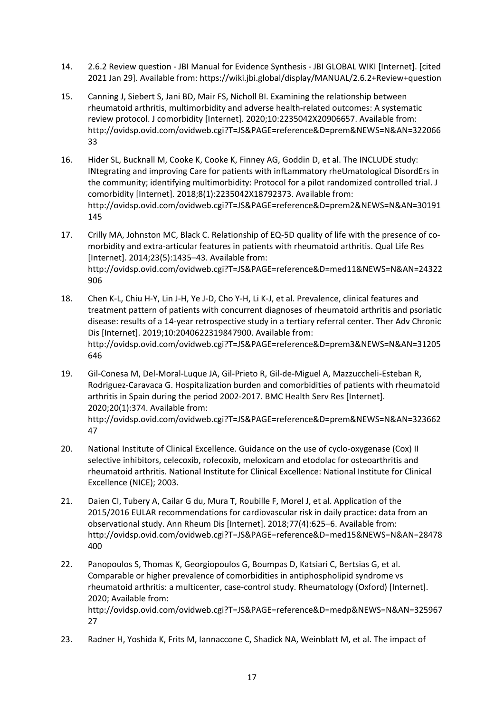- 14. 2.6.2 Review question JBI Manual for Evidence Synthesis JBI GLOBAL WIKI [Internet]. [cited 2021 Jan 29]. Available from: https://wiki.jbi.global/display/MANUAL/2.6.2+Review+question
- 15. Canning J, Siebert S, Jani BD, Mair FS, Nicholl BI. Examining the relationship between rheumatoid arthritis, multimorbidity and adverse health-related outcomes: A systematic review protocol. J comorbidity [Internet]. 2020;10:2235042X20906657. Available from: http://ovidsp.ovid.com/ovidweb.cgi?T=JS&PAGE=reference&D=prem&NEWS=N&AN=322066 33
- 16. Hider SL, Bucknall M, Cooke K, Cooke K, Finney AG, Goddin D, et al. The INCLUDE study: INtegrating and improving Care for patients with infLammatory rheUmatological DisordErs in the community; identifying multimorbidity: Protocol for a pilot randomized controlled trial. J comorbidity [Internet]. 2018;8(1):2235042X18792373. Available from: http://ovidsp.ovid.com/ovidweb.cgi?T=JS&PAGE=reference&D=prem2&NEWS=N&AN=30191 145
- 17. Crilly MA, Johnston MC, Black C. Relationship of EQ-5D quality of life with the presence of comorbidity and extra-articular features in patients with rheumatoid arthritis. Qual Life Res [Internet]. 2014;23(5):1435–43. Available from: http://ovidsp.ovid.com/ovidweb.cgi?T=JS&PAGE=reference&D=med11&NEWS=N&AN=24322 906
- 18. Chen K-L, Chiu H-Y, Lin J-H, Ye J-D, Cho Y-H, Li K-J, et al. Prevalence, clinical features and treatment pattern of patients with concurrent diagnoses of rheumatoid arthritis and psoriatic disease: results of a 14-year retrospective study in a tertiary referral center. Ther Adv Chronic Dis [Internet]. 2019;10:2040622319847900. Available from: http://ovidsp.ovid.com/ovidweb.cgi?T=JS&PAGE=reference&D=prem3&NEWS=N&AN=31205 646
- 19. Gil-Conesa M, Del-Moral-Luque JA, Gil-Prieto R, Gil-de-Miguel A, Mazzuccheli-Esteban R, Rodriguez-Caravaca G. Hospitalization burden and comorbidities of patients with rheumatoid arthritis in Spain during the period 2002-2017. BMC Health Serv Res [Internet]. 2020;20(1):374. Available from: http://ovidsp.ovid.com/ovidweb.cgi?T=JS&PAGE=reference&D=prem&NEWS=N&AN=323662 47
- 20. National Institute of Clinical Excellence. Guidance on the use of cyclo-oxygenase (Cox) II selective inhibitors, celecoxib, rofecoxib, meloxicam and etodolac for osteoarthritis and rheumatoid arthritis. National Institute for Clinical Excellence: National Institute for Clinical Excellence (NICE); 2003.
- 21. Daien CI, Tubery A, Cailar G du, Mura T, Roubille F, Morel J, et al. Application of the 2015/2016 EULAR recommendations for cardiovascular risk in daily practice: data from an observational study. Ann Rheum Dis [Internet]. 2018;77(4):625–6. Available from: http://ovidsp.ovid.com/ovidweb.cgi?T=JS&PAGE=reference&D=med15&NEWS=N&AN=28478 400
- 22. Panopoulos S, Thomas K, Georgiopoulos G, Boumpas D, Katsiari C, Bertsias G, et al. Comparable or higher prevalence of comorbidities in antiphospholipid syndrome vs rheumatoid arthritis: a multicenter, case-control study. Rheumatology (Oxford) [Internet]. 2020; Available from: http://ovidsp.ovid.com/ovidweb.cgi?T=JS&PAGE=reference&D=medp&NEWS=N&AN=325967 27
- 23. Radner H, Yoshida K, Frits M, Iannaccone C, Shadick NA, Weinblatt M, et al. The impact of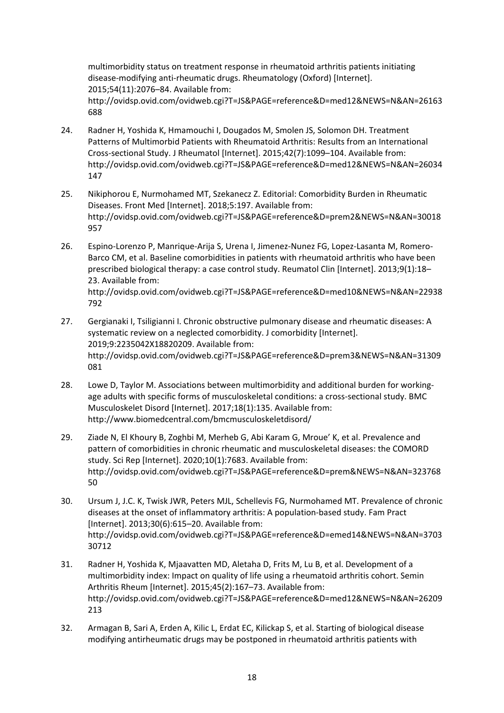multimorbidity status on treatment response in rheumatoid arthritis patients initiating disease-modifying anti-rheumatic drugs. Rheumatology (Oxford) [Internet]. 2015;54(11):2076–84. Available from: http://ovidsp.ovid.com/ovidweb.cgi?T=JS&PAGE=reference&D=med12&NEWS=N&AN=26163 688

- 24. Radner H, Yoshida K, Hmamouchi I, Dougados M, Smolen JS, Solomon DH. Treatment Patterns of Multimorbid Patients with Rheumatoid Arthritis: Results from an International Cross-sectional Study. J Rheumatol [Internet]. 2015;42(7):1099–104. Available from: http://ovidsp.ovid.com/ovidweb.cgi?T=JS&PAGE=reference&D=med12&NEWS=N&AN=26034 147
- 25. Nikiphorou E, Nurmohamed MT, Szekanecz Z. Editorial: Comorbidity Burden in Rheumatic Diseases. Front Med [Internet]. 2018;5:197. Available from: http://ovidsp.ovid.com/ovidweb.cgi?T=JS&PAGE=reference&D=prem2&NEWS=N&AN=30018 957
- 26. Espino-Lorenzo P, Manrique-Arija S, Urena I, Jimenez-Nunez FG, Lopez-Lasanta M, Romero-Barco CM, et al. Baseline comorbidities in patients with rheumatoid arthritis who have been prescribed biological therapy: a case control study. Reumatol Clin [Internet]. 2013;9(1):18– 23. Available from: http://ovidsp.ovid.com/ovidweb.cgi?T=JS&PAGE=reference&D=med10&NEWS=N&AN=22938 792
- 27. Gergianaki I, Tsiligianni I. Chronic obstructive pulmonary disease and rheumatic diseases: A systematic review on a neglected comorbidity. J comorbidity [Internet]. 2019;9:2235042X18820209. Available from: http://ovidsp.ovid.com/ovidweb.cgi?T=JS&PAGE=reference&D=prem3&NEWS=N&AN=31309 081
- 28. Lowe D, Taylor M. Associations between multimorbidity and additional burden for workingage adults with specific forms of musculoskeletal conditions: a cross-sectional study. BMC Musculoskelet Disord [Internet]. 2017;18(1):135. Available from: http://www.biomedcentral.com/bmcmusculoskeletdisord/
- 29. Ziade N, El Khoury B, Zoghbi M, Merheb G, Abi Karam G, Mroue' K, et al. Prevalence and pattern of comorbidities in chronic rheumatic and musculoskeletal diseases: the COMORD study. Sci Rep [Internet]. 2020;10(1):7683. Available from: http://ovidsp.ovid.com/ovidweb.cgi?T=JS&PAGE=reference&D=prem&NEWS=N&AN=323768 50
- 30. Ursum J, J.C. K, Twisk JWR, Peters MJL, Schellevis FG, Nurmohamed MT. Prevalence of chronic diseases at the onset of inflammatory arthritis: A population-based study. Fam Pract [Internet]. 2013;30(6):615–20. Available from: http://ovidsp.ovid.com/ovidweb.cgi?T=JS&PAGE=reference&D=emed14&NEWS=N&AN=3703 30712
- 31. Radner H, Yoshida K, Mjaavatten MD, Aletaha D, Frits M, Lu B, et al. Development of a multimorbidity index: Impact on quality of life using a rheumatoid arthritis cohort. Semin Arthritis Rheum [Internet]. 2015;45(2):167–73. Available from: http://ovidsp.ovid.com/ovidweb.cgi?T=JS&PAGE=reference&D=med12&NEWS=N&AN=26209 213
- 32. Armagan B, Sari A, Erden A, Kilic L, Erdat EC, Kilickap S, et al. Starting of biological disease modifying antirheumatic drugs may be postponed in rheumatoid arthritis patients with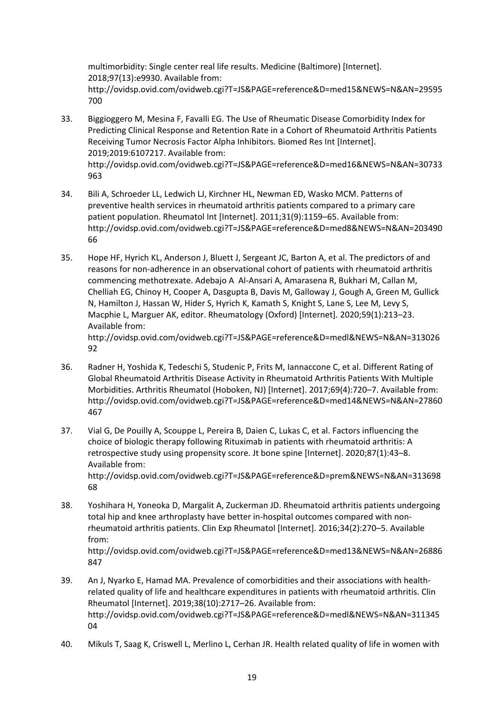multimorbidity: Single center real life results. Medicine (Baltimore) [Internet]. 2018;97(13):e9930. Available from: http://ovidsp.ovid.com/ovidweb.cgi?T=JS&PAGE=reference&D=med15&NEWS=N&AN=29595 700

- 33. Biggioggero M, Mesina F, Favalli EG. The Use of Rheumatic Disease Comorbidity Index for Predicting Clinical Response and Retention Rate in a Cohort of Rheumatoid Arthritis Patients Receiving Tumor Necrosis Factor Alpha Inhibitors. Biomed Res Int [Internet]. 2019;2019:6107217. Available from: http://ovidsp.ovid.com/ovidweb.cgi?T=JS&PAGE=reference&D=med16&NEWS=N&AN=30733 963
- 34. Bili A, Schroeder LL, Ledwich LJ, Kirchner HL, Newman ED, Wasko MCM. Patterns of preventive health services in rheumatoid arthritis patients compared to a primary care patient population. Rheumatol Int [Internet]. 2011;31(9):1159–65. Available from: http://ovidsp.ovid.com/ovidweb.cgi?T=JS&PAGE=reference&D=med8&NEWS=N&AN=203490 66
- 35. Hope HF, Hyrich KL, Anderson J, Bluett J, Sergeant JC, Barton A, et al. The predictors of and reasons for non-adherence in an observational cohort of patients with rheumatoid arthritis commencing methotrexate. Adebajo A Al-Ansari A, Amarasena R, Bukhari M, Callan M, Chelliah EG, Chinoy H, Cooper A, Dasgupta B, Davis M, Galloway J, Gough A, Green M, Gullick N, Hamilton J, Hassan W, Hider S, Hyrich K, Kamath S, Knight S, Lane S, Lee M, Levy S, Macphie L, Marguer AK, editor. Rheumatology (Oxford) [Internet]. 2020;59(1):213–23. Available from: http://ovidsp.ovid.com/ovidweb.cgi?T=JS&PAGE=reference&D=medl&NEWS=N&AN=313026 92
- 36. Radner H, Yoshida K, Tedeschi S, Studenic P, Frits M, Iannaccone C, et al. Different Rating of Global Rheumatoid Arthritis Disease Activity in Rheumatoid Arthritis Patients With Multiple Morbidities. Arthritis Rheumatol (Hoboken, NJ) [Internet]. 2017;69(4):720–7. Available from: http://ovidsp.ovid.com/ovidweb.cgi?T=JS&PAGE=reference&D=med14&NEWS=N&AN=27860 467
- 37. Vial G, De Pouilly A, Scouppe L, Pereira B, Daien C, Lukas C, et al. Factors influencing the choice of biologic therapy following Rituximab in patients with rheumatoid arthritis: A retrospective study using propensity score. Jt bone spine [Internet]. 2020;87(1):43–8. Available from: http://ovidsp.ovid.com/ovidweb.cgi?T=JS&PAGE=reference&D=prem&NEWS=N&AN=313698 68
- 38. Yoshihara H, Yoneoka D, Margalit A, Zuckerman JD. Rheumatoid arthritis patients undergoing total hip and knee arthroplasty have better in-hospital outcomes compared with nonrheumatoid arthritis patients. Clin Exp Rheumatol [Internet]. 2016;34(2):270–5. Available from: http://ovidsp.ovid.com/ovidweb.cgi?T=JS&PAGE=reference&D=med13&NEWS=N&AN=26886 847
- 39. An J, Nyarko E, Hamad MA. Prevalence of comorbidities and their associations with healthrelated quality of life and healthcare expenditures in patients with rheumatoid arthritis. Clin Rheumatol [Internet]. 2019;38(10):2717–26. Available from: http://ovidsp.ovid.com/ovidweb.cgi?T=JS&PAGE=reference&D=medl&NEWS=N&AN=311345 04
- 40. Mikuls T, Saag K, Criswell L, Merlino L, Cerhan JR. Health related quality of life in women with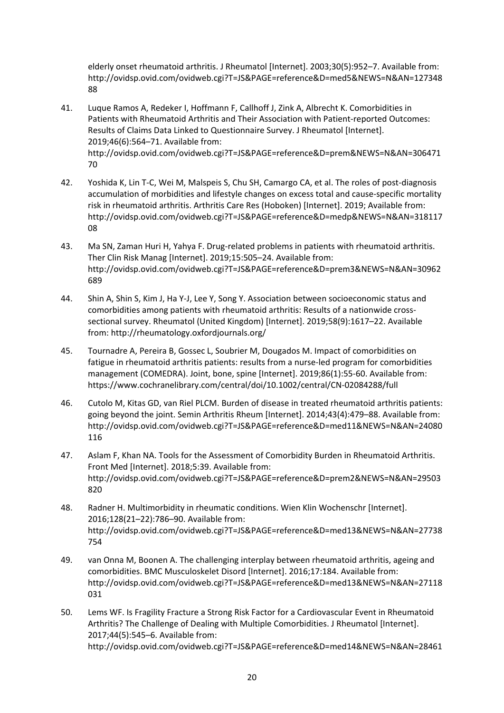elderly onset rheumatoid arthritis. J Rheumatol [Internet]. 2003;30(5):952–7. Available from: http://ovidsp.ovid.com/ovidweb.cgi?T=JS&PAGE=reference&D=med5&NEWS=N&AN=127348 88

- 41. Luque Ramos A, Redeker I, Hoffmann F, Callhoff J, Zink A, Albrecht K. Comorbidities in Patients with Rheumatoid Arthritis and Their Association with Patient-reported Outcomes: Results of Claims Data Linked to Questionnaire Survey. J Rheumatol [Internet]. 2019;46(6):564–71. Available from: http://ovidsp.ovid.com/ovidweb.cgi?T=JS&PAGE=reference&D=prem&NEWS=N&AN=306471 70
- 42. Yoshida K, Lin T-C, Wei M, Malspeis S, Chu SH, Camargo CA, et al. The roles of post-diagnosis accumulation of morbidities and lifestyle changes on excess total and cause-specific mortality risk in rheumatoid arthritis. Arthritis Care Res (Hoboken) [Internet]. 2019; Available from: http://ovidsp.ovid.com/ovidweb.cgi?T=JS&PAGE=reference&D=medp&NEWS=N&AN=318117 08
- 43. Ma SN, Zaman Huri H, Yahya F. Drug-related problems in patients with rheumatoid arthritis. Ther Clin Risk Manag [Internet]. 2019;15:505–24. Available from: http://ovidsp.ovid.com/ovidweb.cgi?T=JS&PAGE=reference&D=prem3&NEWS=N&AN=30962 689
- 44. Shin A, Shin S, Kim J, Ha Y-J, Lee Y, Song Y. Association between socioeconomic status and comorbidities among patients with rheumatoid arthritis: Results of a nationwide crosssectional survey. Rheumatol (United Kingdom) [Internet]. 2019;58(9):1617–22. Available from: http://rheumatology.oxfordjournals.org/
- 45. Tournadre A, Pereira B, Gossec L, Soubrier M, Dougados M. Impact of comorbidities on fatigue in rheumatoid arthritis patients: results from a nurse-led program for comorbidities management (COMEDRA). Joint, bone, spine [Internet]. 2019;86(1):55-60. Available from: https://www.cochranelibrary.com/central/doi/10.1002/central/CN-02084288/full
- 46. Cutolo M, Kitas GD, van Riel PLCM. Burden of disease in treated rheumatoid arthritis patients: going beyond the joint. Semin Arthritis Rheum [Internet]. 2014;43(4):479–88. Available from: http://ovidsp.ovid.com/ovidweb.cgi?T=JS&PAGE=reference&D=med11&NEWS=N&AN=24080 116
- 47. Aslam F, Khan NA. Tools for the Assessment of Comorbidity Burden in Rheumatoid Arthritis. Front Med [Internet]. 2018;5:39. Available from: http://ovidsp.ovid.com/ovidweb.cgi?T=JS&PAGE=reference&D=prem2&NEWS=N&AN=29503 820
- 48. Radner H. Multimorbidity in rheumatic conditions. Wien Klin Wochenschr [Internet]. 2016;128(21–22):786–90. Available from: http://ovidsp.ovid.com/ovidweb.cgi?T=JS&PAGE=reference&D=med13&NEWS=N&AN=27738 754
- 49. van Onna M, Boonen A. The challenging interplay between rheumatoid arthritis, ageing and comorbidities. BMC Musculoskelet Disord [Internet]. 2016;17:184. Available from: http://ovidsp.ovid.com/ovidweb.cgi?T=JS&PAGE=reference&D=med13&NEWS=N&AN=27118 031
- 50. Lems WF. Is Fragility Fracture a Strong Risk Factor for a Cardiovascular Event in Rheumatoid Arthritis? The Challenge of Dealing with Multiple Comorbidities. J Rheumatol [Internet]. 2017;44(5):545–6. Available from: http://ovidsp.ovid.com/ovidweb.cgi?T=JS&PAGE=reference&D=med14&NEWS=N&AN=28461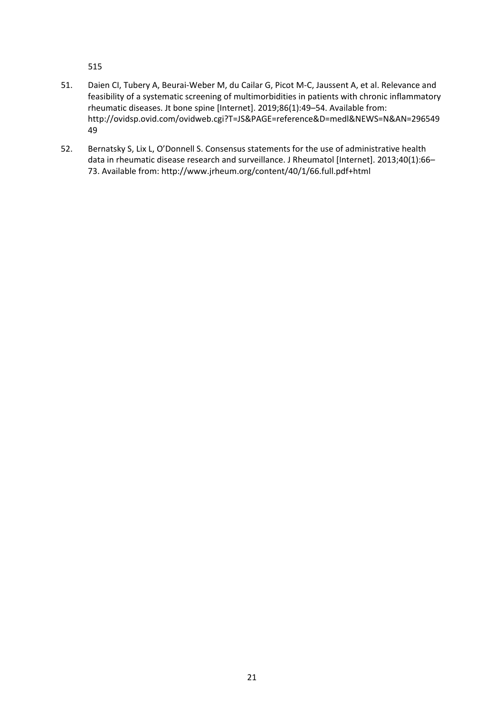515

- 51. Daien CI, Tubery A, Beurai-Weber M, du Cailar G, Picot M-C, Jaussent A, et al. Relevance and feasibility of a systematic screening of multimorbidities in patients with chronic inflammatory rheumatic diseases. Jt bone spine [Internet]. 2019;86(1):49–54. Available from: http://ovidsp.ovid.com/ovidweb.cgi?T=JS&PAGE=reference&D=medl&NEWS=N&AN=296549 49
- 52. Bernatsky S, Lix L, O'Donnell S. Consensus statements for the use of administrative health data in rheumatic disease research and surveillance. J Rheumatol [Internet]. 2013;40(1):66– 73. Available from: http://www.jrheum.org/content/40/1/66.full.pdf+html